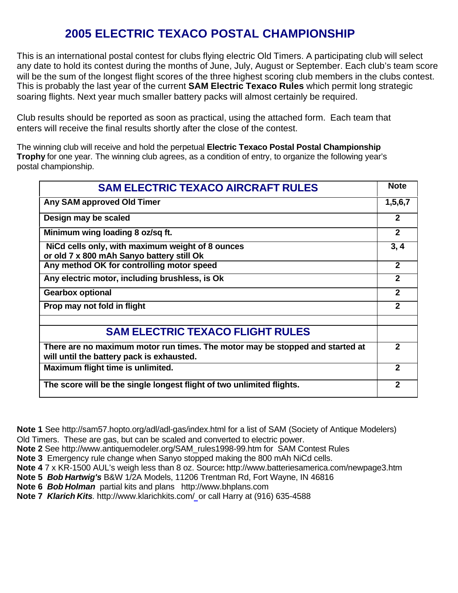## **2005 ELECTRIC TEXACO POSTAL CHAMPIONSHIP**

This is an international postal contest for clubs flying electric Old Timers. A participating club will select any date to hold its contest during the months of June, July, August or September. Each club's team score will be the sum of the longest flight scores of the three highest scoring club members in the clubs contest. This is probably the last year of the current **SAM Electric Texaco Rules** which permit long strategic soaring flights. Next year much smaller battery packs will almost certainly be required.

Club results should be reported as soon as practical, using the attached form. Each team that enters will receive the final results shortly after the close of the contest.

The winning club will receive and hold the perpetual **Electric Texaco Postal Postal Championship Trophy** for one year. The winning club agrees, as a condition of entry, to organize the following year's postal championship.

| <b>SAM ELECTRIC TEXACO AIRCRAFT RULES</b>                                                                                  |                |  |  |  |
|----------------------------------------------------------------------------------------------------------------------------|----------------|--|--|--|
| Any SAM approved Old Timer                                                                                                 |                |  |  |  |
| Design may be scaled                                                                                                       | $\mathbf{2}$   |  |  |  |
| Minimum wing loading 8 oz/sq ft.                                                                                           | $\overline{2}$ |  |  |  |
| NiCd cells only, with maximum weight of 8 ounces<br>or old 7 x 800 mAh Sanyo battery still Ok                              | 3, 4           |  |  |  |
| Any method OK for controlling motor speed                                                                                  |                |  |  |  |
| Any electric motor, including brushless, is Ok                                                                             |                |  |  |  |
| <b>Gearbox optional</b>                                                                                                    |                |  |  |  |
| Prop may not fold in flight                                                                                                | $\mathbf{2}$   |  |  |  |
| <b>SAM ELECTRIC TEXACO FLIGHT RULES</b>                                                                                    |                |  |  |  |
| There are no maximum motor run times. The motor may be stopped and started at<br>will until the battery pack is exhausted. |                |  |  |  |
| Maximum flight time is unlimited.                                                                                          | 2              |  |  |  |
| The score will be the single longest flight of two unlimited flights.                                                      |                |  |  |  |

**Note 1** See http://sam57.hopto.org/adl/adl-gas/index.html for a list of SAM (Society of Antique Modelers) Old Timers. These are gas, but can be scaled and converted to electric power.

**Note 2** See http://www.antiquemodeler.org/SAM\_rules1998-99.htm for SAM Contest Rules

**Note 3** Emergency rule change when Sanyo stopped making the 800 mAh NiCd cells.

- **Note 4** 7 x KR-1500 AUL's weigh less than 8 oz. Source**:** http://www.batteriesamerica.com/newpage3.htm
- **Note 5** *Bob Hartwig's* B&W 1/2A Models, 11206 Trentman Rd, Fort Wayne, IN 46816

**Note 6** *Bob Holman* partial kits and plans http://www.bhplans.com

**Note 7** *Klarich Kits.* http://www.klarichkits.com/or call Harry at (916) 635-4588